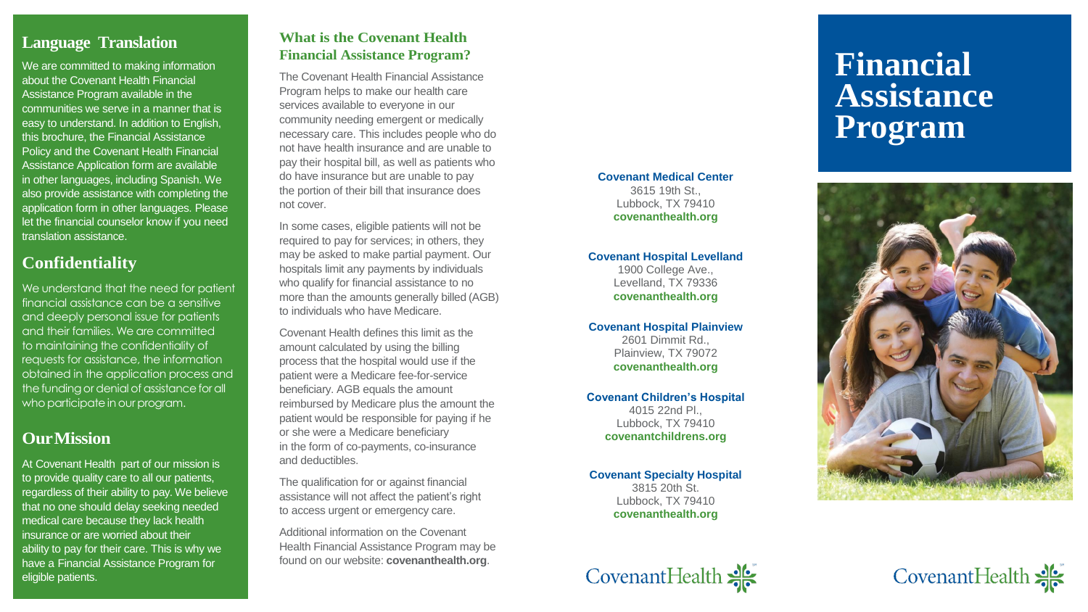### **What is the Covenant Health Financial Assistance Program?**

The Covenant Health Financial Assistance Program helps to make our health care services available to everyone in our community needing emergent or medically necessary care. This includes people who do not have health insurance and are unable to pay their hospital bill, as well as patients who do have insurance but are unable to pay the portion of their bill that insurance does not cover.

In some cases, eligible patients will not be required to pay for services; in others, they may be asked to make partial payment. Our hospitals limit any payments by individuals who qualify for financial assistance to no more than the amounts generally billed (AGB) to individuals who have Medicare.

Covenant Health defines this limit as the amount calculated by using the billing process that the hospital would use if the patient were a Medicare fee -for -service beneficiary. AGB equals the amount reimbursed by Medicare plus the amount the patient would be responsible for paying if he or she were a Medicare beneficiary in the form of co -payments, co -insurance and deductibles.

The qualification for or against financial assistance will not affect the patient's right to access urgent or emergency care.

Additional information on the Covenant Health Financial Assistance Program may be found on our website: **covenanthealth.org** .

#### **Covenant Medical Center**

3615 19th St., Lubbock, TX 79410 **covenanthealth.org**

### **Covenant Hospital Levelland**

1900 College Ave., Levelland, TX 79336 **covenanthealth.org**

At Covenant Health part of our mission is to provide quality care to all our patients, regardless of their ability to pay. We believe that no one should delay seeking needed medical care because they lack health insurance or are worried about their ability to pay for their care. This is why we have a Financial Assistance Program for eligible patients.

### **Covenant Hospital Plainview**

2601 Dimmit Rd., Plainview, TX 79072 **covenanthealth.org**

### **Covenant Children's Hospital**

4015 22nd Pl., Lubbock, TX 79410 **covenantchildrens.org**

### **Covenant Specialty Hospital**

3815 20th St. Lubbock, TX 79410 **covenanthealth.org**



### **Language Translation**

We are committed to making information about the Covenant Health Financial Assistance Program available in the communities we serve in a manner that is easy to understand. In addition to English, this brochure, the Financial Assistance Policy and the Covenant Health Financial Assistance Application form are available in other languages, including Spanish. We also provide assistance with completing the application form in other languages. Please let the financial counselor know if you need translation assistance.

# **Confidentiality**

We understand that the need for patient financial assistance can be a sensitive and deeply personal issue for patients and their families. We are committed to maintaining the confidentiality of requests for assistance, the information obtained in the application process and the funding or denial of assistance for all who participate in our program.

## **OurMission**

# **Financial Assistance Program**